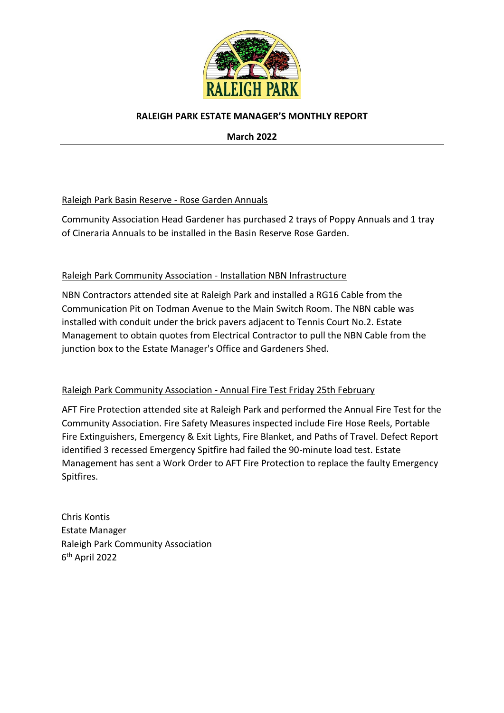

## **RALEIGH PARK ESTATE MANAGER'S MONTHLY REPORT**

**March 2022**

## Raleigh Park Basin Reserve - Rose Garden Annuals

Community Association Head Gardener has purchased 2 trays of Poppy Annuals and 1 tray of Cineraria Annuals to be installed in the Basin Reserve Rose Garden.

## Raleigh Park Community Association - Installation NBN Infrastructure

NBN Contractors attended site at Raleigh Park and installed a RG16 Cable from the Communication Pit on Todman Avenue to the Main Switch Room. The NBN cable was installed with conduit under the brick pavers adjacent to Tennis Court No.2. Estate Management to obtain quotes from Electrical Contractor to pull the NBN Cable from the junction box to the Estate Manager's Office and Gardeners Shed.

## Raleigh Park Community Association - Annual Fire Test Friday 25th February

AFT Fire Protection attended site at Raleigh Park and performed the Annual Fire Test for the Community Association. Fire Safety Measures inspected include Fire Hose Reels, Portable Fire Extinguishers, Emergency & Exit Lights, Fire Blanket, and Paths of Travel. Defect Report identified 3 recessed Emergency Spitfire had failed the 90-minute load test. Estate Management has sent a Work Order to AFT Fire Protection to replace the faulty Emergency Spitfires.

Chris Kontis Estate Manager Raleigh Park Community Association 6 th April 2022